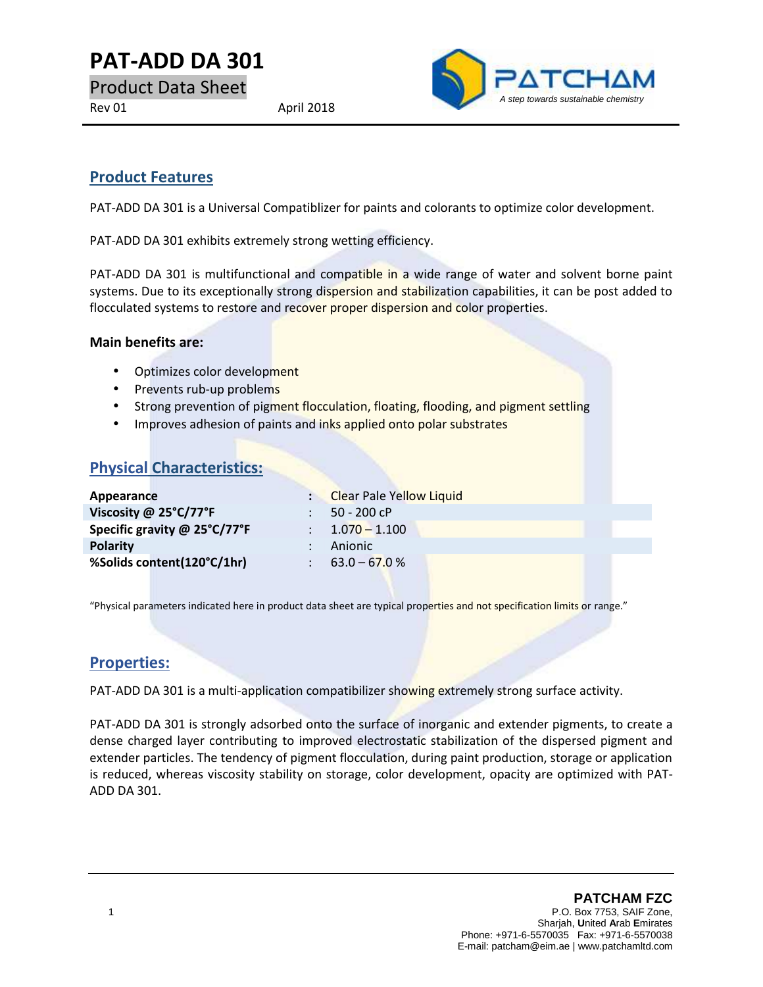**PAT-ADD DA 301**

Product Data Sheet

Rev 01 April 2018



## **Product Features**

PAT-ADD DA 301 is a Universal Compatiblizer for paints and colorants to optimize color development.

PAT-ADD DA 301 exhibits extremely strong wetting efficiency.

PAT-ADD DA 301 is multifunctional and compatible in a wide range of water and solvent borne paint systems. Due to its exceptionally strong dispersion and stabilization capabilities, it can be post added to flocculated systems to restore and recover proper dispersion and color properties.

#### **Main benefits are:**

- Optimizes color development
- Prevents rub-up problems
- Strong prevention of pigment flocculation, floating, flooding, and pigment settling
- Improves adhesion of paints and inks applied onto polar substrates

# **Physical Characteristics:**

| Appearance                   | : Clear Pale Yellow Liquid |
|------------------------------|----------------------------|
| Viscosity @ 25°C/77°F        | $50 - 200$ cP              |
| Specific gravity @ 25°C/77°F | $\therefore$ 1.070 – 1.100 |
| <b>Polarity</b>              | Anionic                    |
| %Solids content(120°C/1hr)   | $\therefore$ 63.0 – 67.0 % |
|                              |                            |

"Physical parameters indicated here in product data sheet are typical properties and not specification limits or range."

#### **Properties:**

PAT-ADD DA 301 is a multi-application compatibilizer showing extremely strong surface activity.

PAT-ADD DA 301 is strongly adsorbed onto the surface of inorganic and extender pigments, to create a dense charged layer contributing to improved electrostatic stabilization of the dispersed pigment and extender particles. The tendency of pigment flocculation, during paint production, storage or application is reduced, whereas viscosity stability on storage, color development, opacity are optimized with PAT- ADD DA 301.